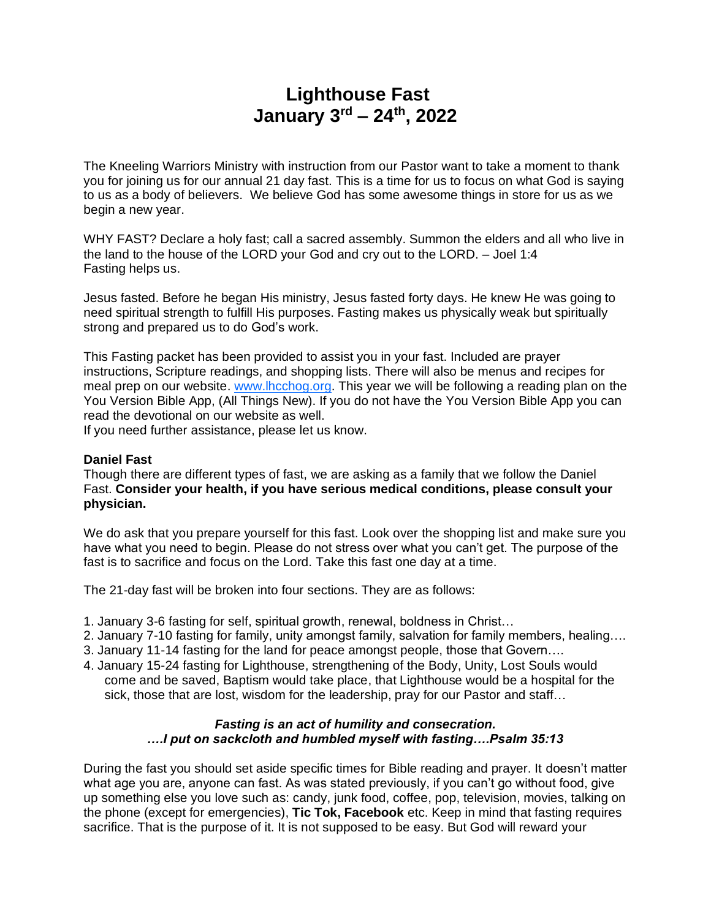# **Lighthouse Fast January 3rd – 24th, 2022**

The Kneeling Warriors Ministry with instruction from our Pastor want to take a moment to thank you for joining us for our annual 21 day fast. This is a time for us to focus on what God is saying to us as a body of believers. We believe God has some awesome things in store for us as we begin a new year.

WHY FAST? Declare a holy fast; call a sacred assembly. Summon the elders and all who live in the land to the house of the LORD your God and cry out to the LORD. – Joel 1:4 Fasting helps us.

Jesus fasted. Before he began His ministry, Jesus fasted forty days. He knew He was going to need spiritual strength to fulfill His purposes. Fasting makes us physically weak but spiritually strong and prepared us to do God's work.

This Fasting packet has been provided to assist you in your fast. Included are prayer instructions, Scripture readings, and shopping lists. There will also be menus and recipes for meal prep on our website. [www.lhcchog.org.](http://www.lhcchog.org/) This year we will be following a reading plan on the You Version Bible App, (All Things New). If you do not have the You Version Bible App you can read the devotional on our website as well.

If you need further assistance, please let us know.

### **Daniel Fast**

Though there are different types of fast, we are asking as a family that we follow the Daniel Fast. **Consider your health, if you have serious medical conditions, please consult your physician.**

We do ask that you prepare yourself for this fast. Look over the shopping list and make sure you have what you need to begin. Please do not stress over what you can't get. The purpose of the fast is to sacrifice and focus on the Lord. Take this fast one day at a time.

The 21-day fast will be broken into four sections. They are as follows:

- 1. January 3-6 fasting for self, spiritual growth, renewal, boldness in Christ…
- 2. January 7-10 fasting for family, unity amongst family, salvation for family members, healing….
- 3. January 11-14 fasting for the land for peace amongst people, those that Govern….
- 4. January 15-24 fasting for Lighthouse, strengthening of the Body, Unity, Lost Souls would come and be saved, Baptism would take place, that Lighthouse would be a hospital for the sick, those that are lost, wisdom for the leadership, pray for our Pastor and staff…

### *Fasting is an act of humility and consecration. ….I put on sackcloth and humbled myself with fasting….Psalm 35:13*

During the fast you should set aside specific times for Bible reading and prayer. It doesn't matter what age you are, anyone can fast. As was stated previously, if you can't go without food, give up something else you love such as: candy, junk food, coffee, pop, television, movies, talking on the phone (except for emergencies), **Tic Tok, Facebook** etc. Keep in mind that fasting requires sacrifice. That is the purpose of it. It is not supposed to be easy. But God will reward your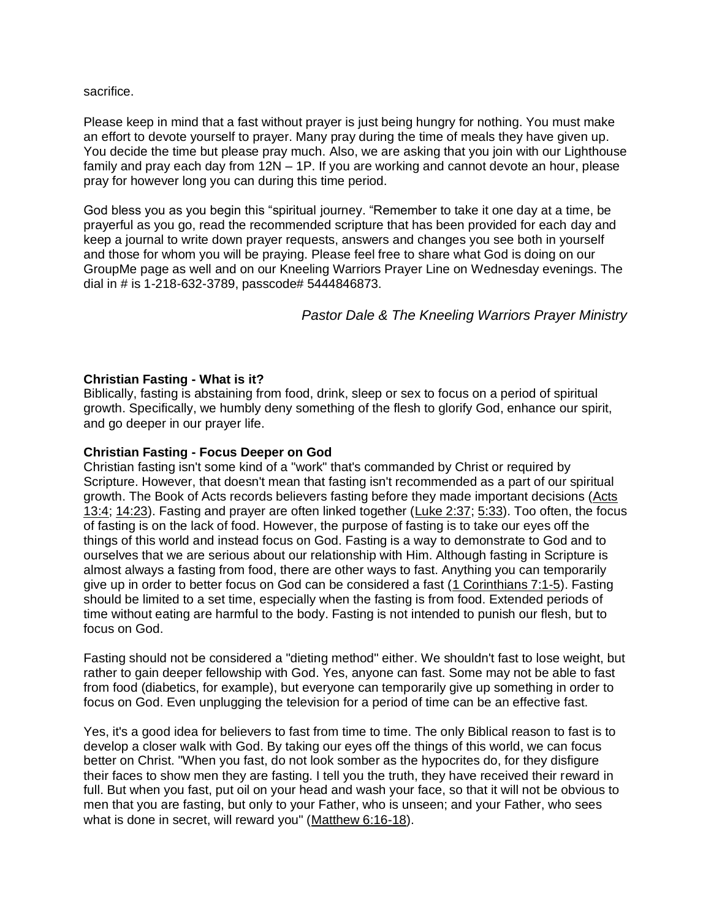sacrifice.

Please keep in mind that a fast without prayer is just being hungry for nothing. You must make an effort to devote yourself to prayer. Many pray during the time of meals they have given up. You decide the time but please pray much. Also, we are asking that you join with our Lighthouse family and pray each day from 12N – 1P. If you are working and cannot devote an hour, please pray for however long you can during this time period.

God bless you as you begin this "spiritual journey. "Remember to take it one day at a time, be prayerful as you go, read the recommended scripture that has been provided for each day and keep a journal to write down prayer requests, answers and changes you see both in yourself and those for whom you will be praying. Please feel free to share what God is doing on our GroupMe page as well and on our Kneeling Warriors Prayer Line on Wednesday evenings. The dial in # is 1-218-632-3789, passcode# 5444846873.

*Pastor Dale & The Kneeling Warriors Prayer Ministry*

## **Christian Fasting - What is it?**

Biblically, fasting is abstaining from food, drink, sleep or sex to focus on a period of spiritual growth. Specifically, we humbly deny something of the flesh to glorify God, enhance our spirit, and go deeper in our prayer life.

## **Christian Fasting - Focus Deeper on God**

Christian fasting isn't some kind of a "work" that's commanded by Christ or required by Scripture. However, that doesn't mean that fasting isn't recommended as a part of our spiritual growth. The Book of Acts records believers fasting before they made important decisions [\(Acts](http://www.allaboutgod.com/truth/acts-13.htm#4)  [13:4;](http://www.allaboutgod.com/truth/acts-13.htm#4) [14:23\)](http://www.allaboutgod.com/truth/acts-14.htm#23). Fasting and prayer are often linked together [\(Luke 2:37;](http://www.allaboutgod.com/truth/luke-2-2.htm#37) [5:33\)](http://www.allaboutgod.com/truth/luke-5-2.htm#33). Too often, the focus of fasting is on the lack of food. However, the purpose of fasting is to take our eyes off the things of this world and instead focus on God. Fasting is a way to demonstrate to God and to ourselves that we are serious about our relationship with Him. Although fasting in Scripture is almost always a fasting from food, there are other ways to fast. Anything you can temporarily give up in order to better focus on God can be considered a fast [\(1 Corinthians 7:1-5\)](http://www.allaboutgod.com/truth/1-corinthians-7.htm). Fasting should be limited to a set time, especially when the fasting is from food. Extended periods of time without eating are harmful to the body. Fasting is not intended to punish our flesh, but to focus on God.

Fasting should not be considered a "dieting method" either. We shouldn't fast to lose weight, but rather to gain deeper fellowship with God. Yes, anyone can fast. Some may not be able to fast from food (diabetics, for example), but everyone can temporarily give up something in order to focus on God. Even unplugging the television for a period of time can be an effective fast.

Yes, it's a good idea for believers to fast from time to time. The only Biblical reason to fast is to develop a closer walk with God. By taking our eyes off the things of this world, we can focus better on Christ. "When you fast, do not look somber as the hypocrites do, for they disfigure their faces to show men they are fasting. I tell you the truth, they have received their reward in full. But when you fast, put oil on your head and wash your face, so that it will not be obvious to men that you are fasting, but only to your Father, who is unseen; and your Father, who sees what is done in secret, will reward you" [\(Matthew 6:16-18\)](http://www.allaboutgod.com/truth/matthew-6.htm).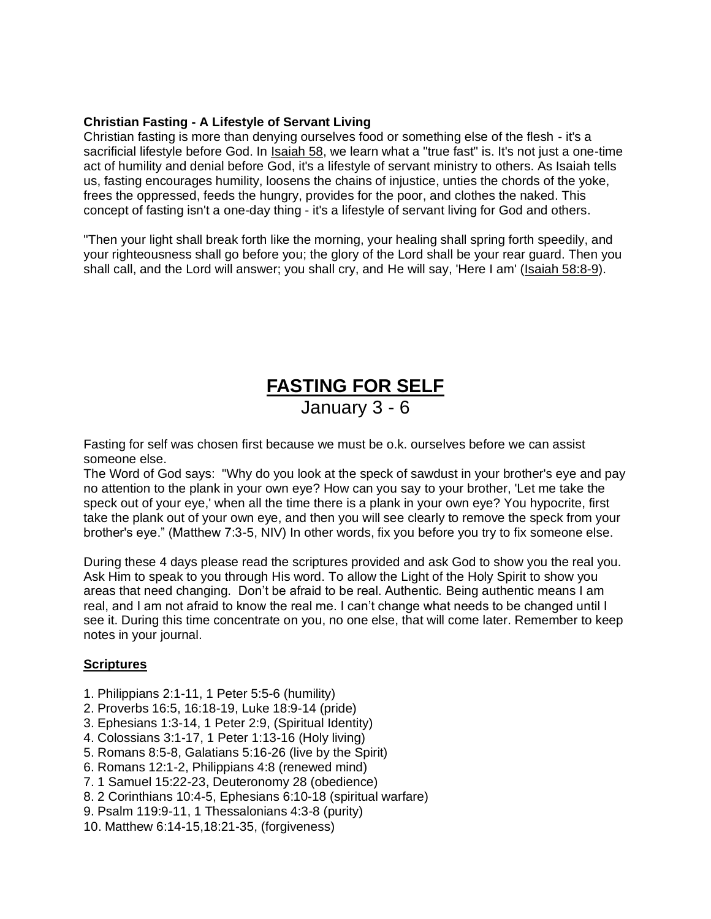## **Christian Fasting - A Lifestyle of Servant Living**

Christian fasting is more than denying ourselves food or something else of the flesh - it's a sacrificial lifestyle before God. In [Isaiah 58,](http://www.allaboutgod.com/truth/isaiah-58.htm) we learn what a "true fast" is. It's not just a one-time act of humility and denial before God, it's a lifestyle of servant ministry to others. As Isaiah tells us, fasting encourages humility, loosens the chains of injustice, unties the chords of the yoke, frees the oppressed, feeds the hungry, provides for the poor, and clothes the naked. This concept of fasting isn't a one-day thing - it's a lifestyle of servant living for God and others.

"Then your light shall break forth like the morning, your healing shall spring forth speedily, and your righteousness shall go before you; the glory of the Lord shall be your rear guard. Then you shall call, and the Lord will answer; you shall cry, and He will say, 'Here I am' [\(Isaiah 58:8-9\)](http://www.allaboutgod.com/truth/isaiah-58.htm).

# **FASTING FOR SELF** January 3 - 6

Fasting for self was chosen first because we must be o.k. ourselves before we can assist someone else.

The Word of God says: "Why do you look at the speck of sawdust in your brother's eye and pay no attention to the plank in your own eye? How can you say to your brother, 'Let me take the speck out of your eye,' when all the time there is a plank in your own eye? You hypocrite, first take the plank out of your own eye, and then you will see clearly to remove the speck from your brother's eye." (Matthew 7:3-5, NIV) In other words, fix you before you try to fix someone else.

During these 4 days please read the scriptures provided and ask God to show you the real you. Ask Him to speak to you through His word. To allow the Light of the Holy Spirit to show you areas that need changing. Don't be afraid to be real. Authentic*.* Being authentic means I am real, and I am not afraid to know the real me. I can't change what needs to be changed until I see it. During this time concentrate on you, no one else, that will come later. Remember to keep notes in your journal.

### **Scriptures**

- 1. Philippians 2:1-11, 1 Peter 5:5-6 (humility)
- 2. Proverbs 16:5, 16:18-19, Luke 18:9-14 (pride)
- 3. Ephesians 1:3-14, 1 Peter 2:9, (Spiritual Identity)
- 4. Colossians 3:1-17, 1 Peter 1:13-16 (Holy living)
- 5. Romans 8:5-8, Galatians 5:16-26 (live by the Spirit)
- 6. Romans 12:1-2, Philippians 4:8 (renewed mind)
- 7. 1 Samuel 15:22-23, Deuteronomy 28 (obedience)
- 8. 2 Corinthians 10:4-5, Ephesians 6:10-18 (spiritual warfare)
- 9. Psalm 119:9-11, 1 Thessalonians 4:3-8 (purity)
- 10. Matthew 6:14-15,18:21-35, (forgiveness)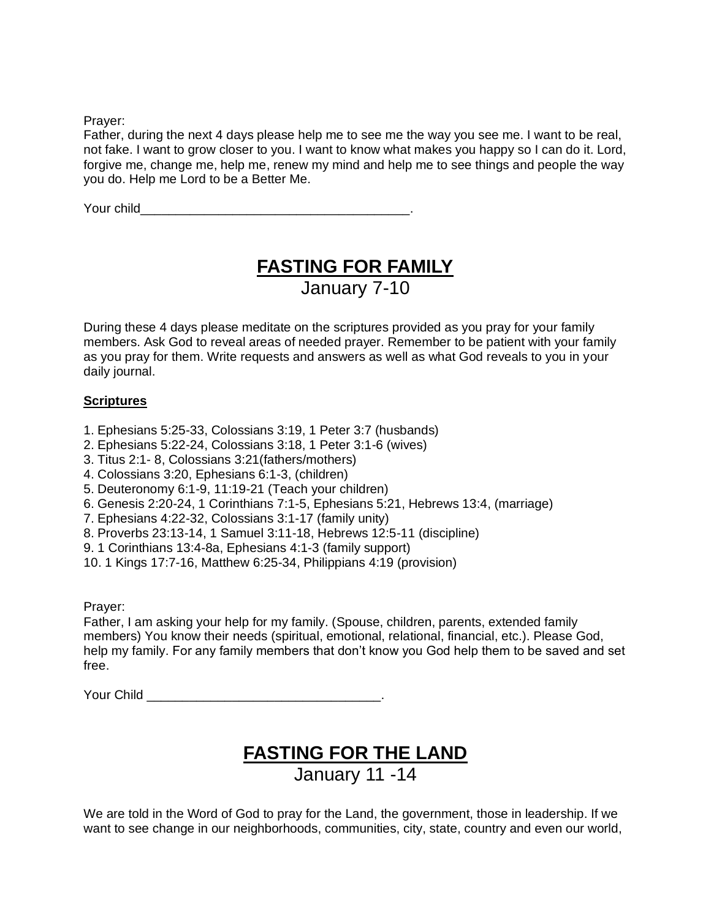Prayer:

Father, during the next 4 days please help me to see me the way you see me. I want to be real, not fake. I want to grow closer to you. I want to know what makes you happy so I can do it. Lord, forgive me, change me, help me, renew my mind and help me to see things and people the way you do. Help me Lord to be a Better Me.

Your child\_\_\_\_\_\_\_\_\_\_\_\_\_\_\_\_\_\_\_\_\_\_\_\_\_\_\_\_\_\_\_\_\_\_\_\_\_\_.

# **FASTING FOR FAMILY** January 7-10

During these 4 days please meditate on the scriptures provided as you pray for your family members. Ask God to reveal areas of needed prayer. Remember to be patient with your family as you pray for them. Write requests and answers as well as what God reveals to you in your daily journal.

## **Scriptures**

- 1. Ephesians 5:25-33, Colossians 3:19, 1 Peter 3:7 (husbands)
- 2. Ephesians 5:22-24, Colossians 3:18, 1 Peter 3:1-6 (wives)
- 3. Titus 2:1- 8, Colossians 3:21(fathers/mothers)
- 4. Colossians 3:20, Ephesians 6:1-3, (children)
- 5. Deuteronomy 6:1-9, 11:19-21 (Teach your children)
- 6. Genesis 2:20-24, 1 Corinthians 7:1-5, Ephesians 5:21, Hebrews 13:4, (marriage)
- 7. Ephesians 4:22-32, Colossians 3:1-17 (family unity)
- 8. Proverbs 23:13-14, 1 Samuel 3:11-18, Hebrews 12:5-11 (discipline)
- 9. 1 Corinthians 13:4-8a, Ephesians 4:1-3 (family support)
- 10. 1 Kings 17:7-16, Matthew 6:25-34, Philippians 4:19 (provision)

Prayer:

Father, I am asking your help for my family. (Spouse, children, parents, extended family members) You know their needs (spiritual, emotional, relational, financial, etc.). Please God, help my family. For any family members that don't know you God help them to be saved and set free.

Your Child **Exercise 2008** 

# **FASTING FOR THE LAND** January 11 -14

We are told in the Word of God to pray for the Land, the government, those in leadership. If we want to see change in our neighborhoods, communities, city, state, country and even our world,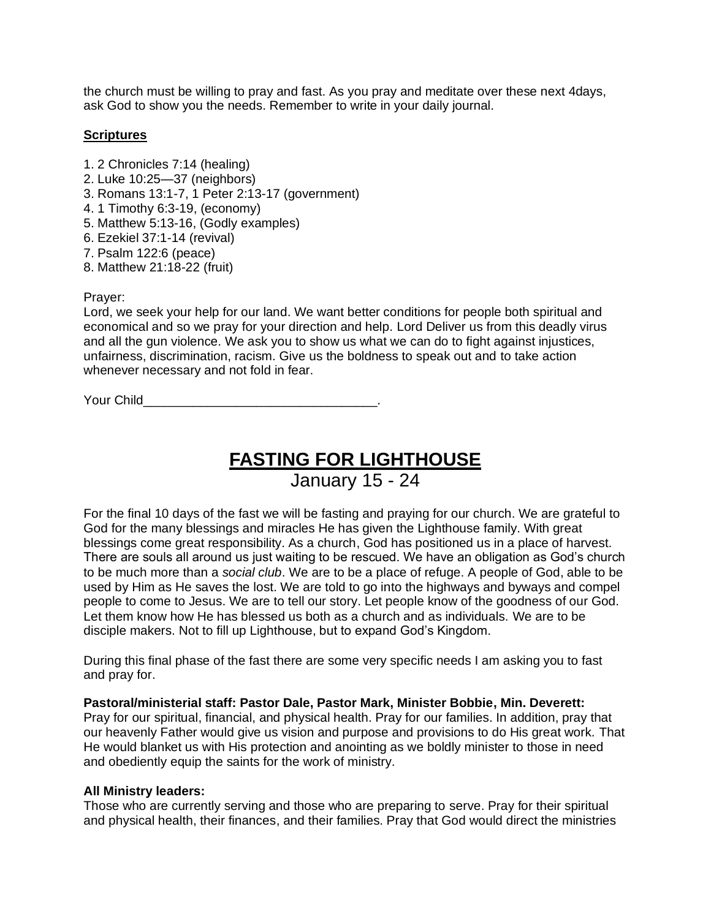the church must be willing to pray and fast. As you pray and meditate over these next 4days, ask God to show you the needs. Remember to write in your daily journal.

### **Scriptures**

- 1. 2 Chronicles 7:14 (healing)
- 2. Luke 10:25—37 (neighbors)
- 3. Romans 13:1-7, 1 Peter 2:13-17 (government)
- 4. 1 Timothy 6:3-19, (economy)
- 5. Matthew 5:13-16, (Godly examples)
- 6. Ezekiel 37:1-14 (revival)
- 7. Psalm 122:6 (peace)
- 8. Matthew 21:18-22 (fruit)

### Prayer:

Lord, we seek your help for our land. We want better conditions for people both spiritual and economical and so we pray for your direction and help. Lord Deliver us from this deadly virus and all the gun violence. We ask you to show us what we can do to fight against injustices, unfairness, discrimination, racism. Give us the boldness to speak out and to take action whenever necessary and not fold in fear.

Your Child

# **FASTING FOR LIGHTHOUSE** January 15 - 24

For the final 10 days of the fast we will be fasting and praying for our church. We are grateful to God for the many blessings and miracles He has given the Lighthouse family. With great blessings come great responsibility. As a church, God has positioned us in a place of harvest. There are souls all around us just waiting to be rescued. We have an obligation as God's church to be much more than a *social club*. We are to be a place of refuge. A people of God, able to be used by Him as He saves the lost. We are told to go into the highways and byways and compel people to come to Jesus. We are to tell our story. Let people know of the goodness of our God. Let them know how He has blessed us both as a church and as individuals. We are to be disciple makers. Not to fill up Lighthouse, but to expand God's Kingdom.

During this final phase of the fast there are some very specific needs I am asking you to fast and pray for.

### **Pastoral/ministerial staff: Pastor Dale, Pastor Mark, Minister Bobbie, Min. Deverett:**

Pray for our spiritual, financial, and physical health. Pray for our families. In addition, pray that our heavenly Father would give us vision and purpose and provisions to do His great work. That He would blanket us with His protection and anointing as we boldly minister to those in need and obediently equip the saints for the work of ministry.

### **All Ministry leaders:**

Those who are currently serving and those who are preparing to serve. Pray for their spiritual and physical health, their finances, and their families. Pray that God would direct the ministries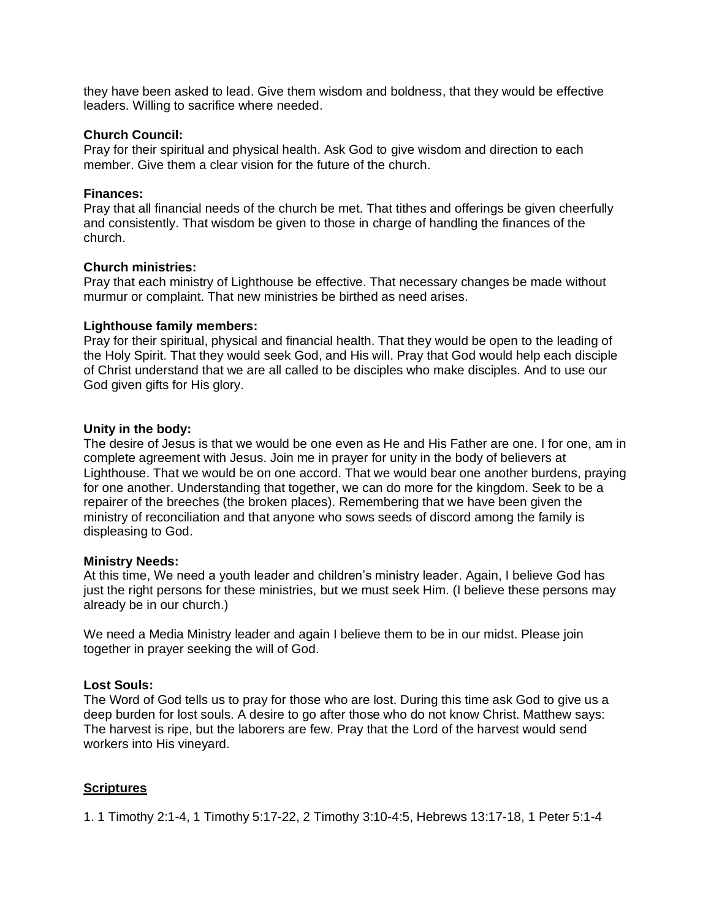they have been asked to lead. Give them wisdom and boldness, that they would be effective leaders. Willing to sacrifice where needed.

#### **Church Council:**

Pray for their spiritual and physical health. Ask God to give wisdom and direction to each member. Give them a clear vision for the future of the church.

### **Finances:**

Pray that all financial needs of the church be met. That tithes and offerings be given cheerfully and consistently. That wisdom be given to those in charge of handling the finances of the church.

### **Church ministries:**

Pray that each ministry of Lighthouse be effective. That necessary changes be made without murmur or complaint. That new ministries be birthed as need arises.

### **Lighthouse family members:**

Pray for their spiritual, physical and financial health. That they would be open to the leading of the Holy Spirit. That they would seek God, and His will. Pray that God would help each disciple of Christ understand that we are all called to be disciples who make disciples. And to use our God given gifts for His glory.

### **Unity in the body:**

The desire of Jesus is that we would be one even as He and His Father are one. I for one, am in complete agreement with Jesus. Join me in prayer for unity in the body of believers at Lighthouse. That we would be on one accord. That we would bear one another burdens, praying for one another. Understanding that together, we can do more for the kingdom. Seek to be a repairer of the breeches (the broken places). Remembering that we have been given the ministry of reconciliation and that anyone who sows seeds of discord among the family is displeasing to God.

#### **Ministry Needs:**

At this time, We need a youth leader and children's ministry leader. Again, I believe God has just the right persons for these ministries, but we must seek Him. (I believe these persons may already be in our church.)

We need a Media Ministry leader and again I believe them to be in our midst. Please join together in prayer seeking the will of God.

### **Lost Souls:**

The Word of God tells us to pray for those who are lost. During this time ask God to give us a deep burden for lost souls. A desire to go after those who do not know Christ. Matthew says: The harvest is ripe, but the laborers are few. Pray that the Lord of the harvest would send workers into His vineyard.

### **Scriptures**

1. 1 Timothy 2:1-4, 1 Timothy 5:17-22, 2 Timothy 3:10-4:5, Hebrews 13:17-18, 1 Peter 5:1-4